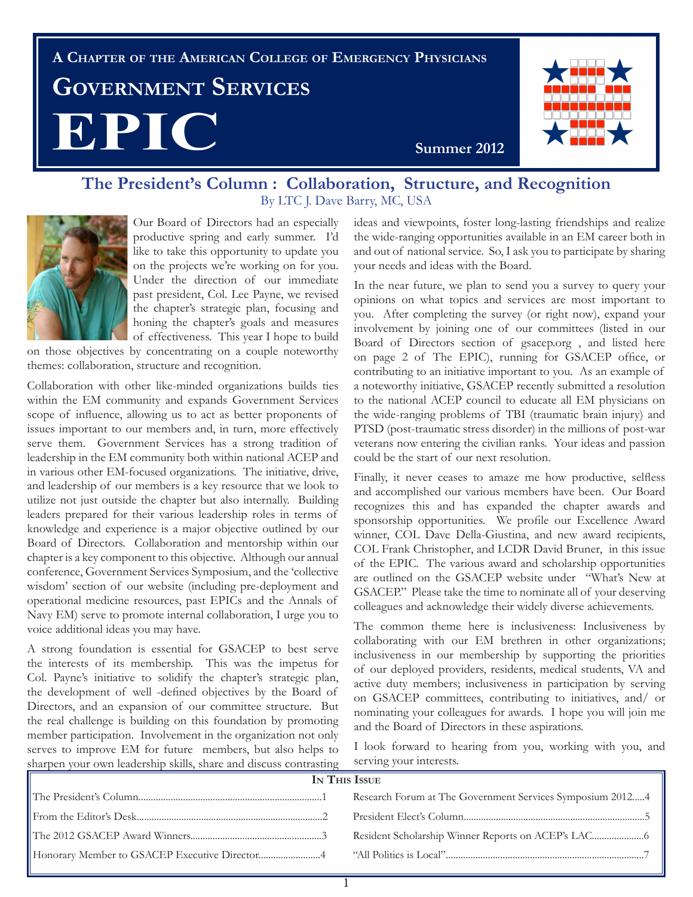# **A Chapter of the American College of Emergency Physicians Government Services EPIC** Summer 2012



# **The President's Column : Collaboration, Structure, and Recognition** By LTC J. Dave Barry, MC, USA



Our Board of Directors had an especially productive spring and early summer. I'd like to take this opportunity to update you on the projects we're working on for you. Under the direction of our immediate past president, Col. Lee Payne, we revised the chapter's strategic plan, focusing and honing the chapter's goals and measures of effectiveness. This year I hope to build

on those objectives by concentrating on a couple noteworthy themes: collaboration, structure and recognition.

Collaboration with other like-minded organizations builds ties within the EM community and expands Government Services scope of influence, allowing us to act as better proponents of issues important to our members and, in turn, more effectively serve them. Government Services has a strong tradition of leadership in the EM community both within national ACEP and in various other EM-focused organizations. The initiative, drive, and leadership of our members is a key resource that we look to utilize not just outside the chapter but also internally. Building leaders prepared for their various leadership roles in terms of knowledge and experience is a major objective outlined by our Board of Directors. Collaboration and mentorship within our chapter is a key component to this objective. Although our annual conference, Government Services Symposium, and the 'collective wisdom' section of our website (including pre-deployment and operational medicine resources, past EPICs and the Annals of Navy EM) serve to promote internal collaboration, I urge you to voice additional ideas you may have.

A strong foundation is essential for GSACEP to best serve the interests of its membership. This was the impetus for Col. Payne's initiative to solidify the chapter's strategic plan, the development of well -defined objectives by the Board of Directors, and an expansion of our committee structure. But the real challenge is building on this foundation by promoting member participation. Involvement in the organization not only serves to improve EM for future members, but also helps to sharpen your own leadership skills, share and discuss contrasting

ideas and viewpoints, foster long-lasting friendships and realize the wide-ranging opportunities available in an EM career both in and out of national service. So, I ask you to participate by sharing your needs and ideas with the Board.

In the near future, we plan to send you a survey to query your opinions on what topics and services are most important to you. After completing the survey (or right now), expand your involvement by joining one of our committees (listed in our Board of Directors section of gsacep.org , and listed here on page 2 of The EPIC), running for GSACEP office, or contributing to an initiative important to you. As an example of a noteworthy initiative, GSACEP recently submitted a resolution to the national ACEP council to educate all EM physicians on the wide-ranging problems of TBI (traumatic brain injury) and PTSD (post-traumatic stress disorder) in the millions of post-war veterans now entering the civilian ranks. Your ideas and passion could be the start of our next resolution.

Finally, it never ceases to amaze me how productive, selfless and accomplished our various members have been. Our Board recognizes this and has expanded the chapter awards and sponsorship opportunities. We profile our Excellence Award winner, COL Dave Della-Giustina, and new award recipients, COL Frank Christopher, and LCDR David Bruner, in this issue of the EPIC. The various award and scholarship opportunities are outlined on the GSACEP website under "What's New at GSACEP." Please take the time to nominate all of your deserving colleagues and acknowledge their widely diverse achievements.

The common theme here is inclusiveness: Inclusiveness by collaborating with our EM brethren in other organizations; inclusiveness in our membership by supporting the priorities of our deployed providers, residents, medical students, VA and active duty members; inclusiveness in participation by serving on GSACEP committees, contributing to initiatives, and/ or nominating your colleagues for awards. I hope you will join me and the Board of Directors in these aspirations.

I look forward to hearing from you, working with you, and serving your interests.

| IN THIS ISSUE |                                                           |
|---------------|-----------------------------------------------------------|
|               | Research Forum at The Government Services Symposium 20124 |
|               |                                                           |
|               |                                                           |
|               |                                                           |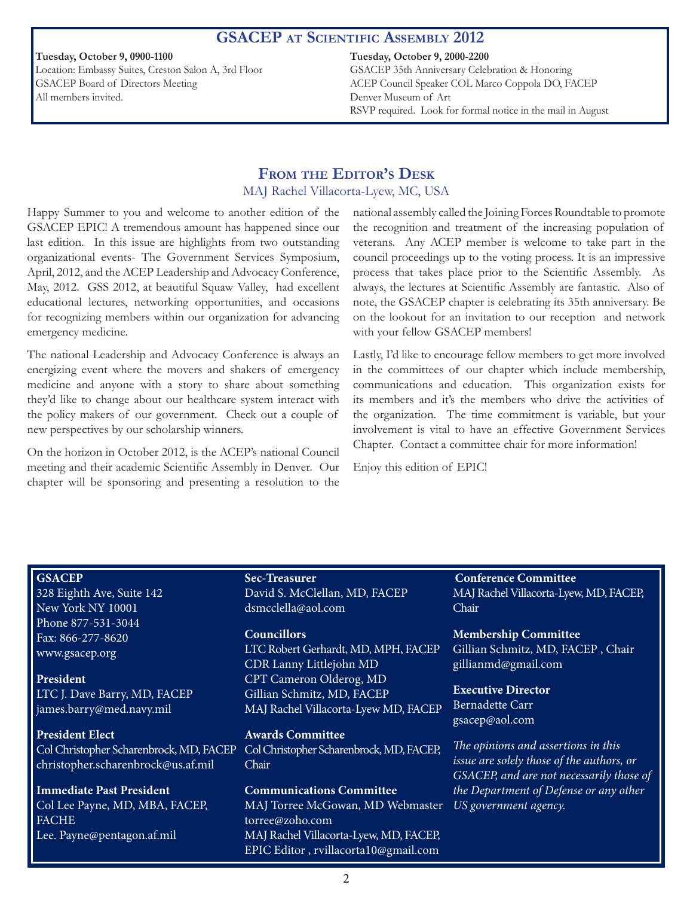#### **GSACEP at Scientific Assembly 2012**

**Tuesday, October 9, 0900-1100** Location: Embassy Suites, Creston Salon A, 3rd Floor GSACEP Board of Directors Meeting All members invited.

#### **Tuesday, October 9, 2000-2200**

GSACEP 35th Anniversary Celebration & Honoring ACEP Council Speaker COL Marco Coppola DO, FACEP Denver Museum of Art RSVP required. Look for formal notice in the mail in August

# **From the Editor's Desk** MAJ Rachel Villacorta-Lyew, MC, USA

Happy Summer to you and welcome to another edition of the GSACEP EPIC! A tremendous amount has happened since our last edition. In this issue are highlights from two outstanding organizational events- The Government Services Symposium, April, 2012, and the ACEP Leadership and Advocacy Conference, May, 2012. GSS 2012, at beautiful Squaw Valley, had excellent educational lectures, networking opportunities, and occasions for recognizing members within our organization for advancing emergency medicine.

The national Leadership and Advocacy Conference is always an energizing event where the movers and shakers of emergency medicine and anyone with a story to share about something they'd like to change about our healthcare system interact with the policy makers of our government. Check out a couple of new perspectives by our scholarship winners.

On the horizon in October 2012, is the ACEP's national Council meeting and their academic Scientific Assembly in Denver. Our chapter will be sponsoring and presenting a resolution to the

national assembly called the Joining Forces Roundtable to promote the recognition and treatment of the increasing population of veterans. Any ACEP member is welcome to take part in the council proceedings up to the voting process. It is an impressive process that takes place prior to the Scientific Assembly. As always, the lectures at Scientific Assembly are fantastic. Also of note, the GSACEP chapter is celebrating its 35th anniversary. Be on the lookout for an invitation to our reception and network with your fellow GSACEP members!

Lastly, I'd like to encourage fellow members to get more involved in the committees of our chapter which include membership, communications and education. This organization exists for its members and it's the members who drive the activities of the organization. The time commitment is variable, but your involvement is vital to have an effective Government Services Chapter. Contact a committee chair for more information!

Enjoy this edition of EPIC!

#### **GSACEP**

328 Eighth Ave, Suite 142 New York NY 10001 Phone 877-531-3044 Fax: 866-277-8620 www.gsacep.org

**President**  LTC J. Dave Barry, MD, FACEP james.barry@med.navy.mil

**President Elect**  Col Christopher Scharenbrock, MD, FACEP christopher.scharenbrock@us.af.mil

**Immediate Past President** Col Lee Payne, MD, MBA, FACEP, **FACHE** Lee. Payne@pentagon.af.mil

**Sec-Treasurer** David S. McClellan, MD, FACEP dsmcclella@aol.com

#### **Councillors**

LTC Robert Gerhardt, MD, MPH, FACEP CDR Lanny Littlejohn MD CPT Cameron Olderog, MD Gillian Schmitz, MD, FACEP MAJ Rachel Villacorta-Lyew MD, FACEP

**Awards Committee** Col Christopher Scharenbrock, MD, FACEP, Chair

**Communications Committee** MAJ Torree McGowan, MD Webmaster torree@zoho.com MAJ Rachel Villacorta-Lyew, MD, FACEP, EPIC Editor , rvillacorta10@gmail.com

**Conference Committee** MAJ Rachel Villacorta-Lyew, MD, FACEP, Chair

**Membership Committee** Gillian Schmitz, MD, FACEP , Chair gillianmd@gmail.com

**Executive Director** Bernadette Carr gsacep@aol.com

*The opinions and assertions in this issue are solely those of the authors, or GSACEP, and are not necessarily those of the Department of Defense or any other US government agency.*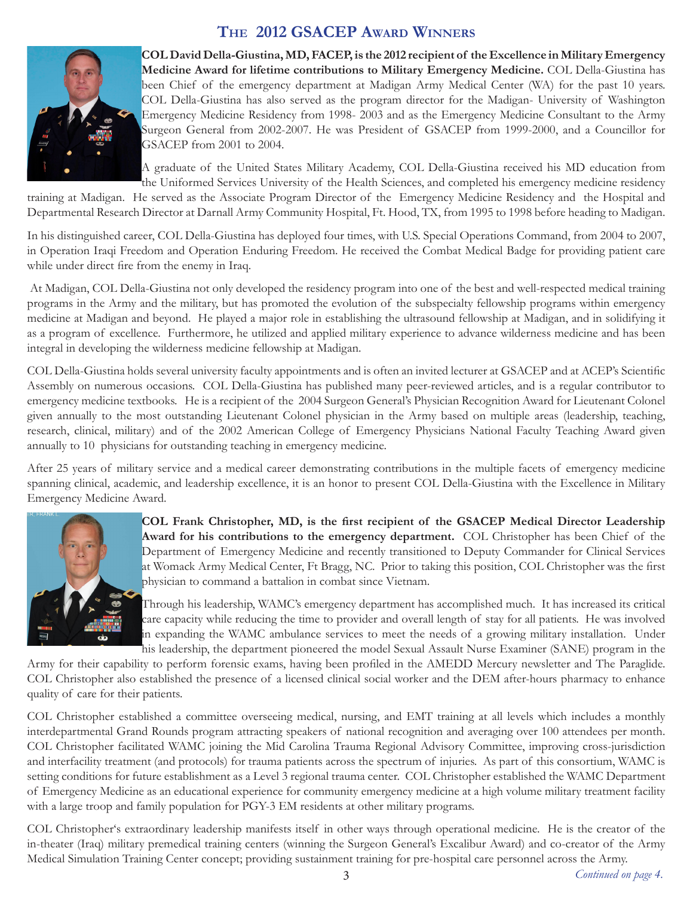# **The 2012 GSACEP Award Winners**



**COL David Della-Giustina, MD, FACEP, is the 2012 recipient of the Excellence in Military Emergency Medicine Award for lifetime contributions to Military Emergency Medicine.** COL Della-Giustina has been Chief of the emergency department at Madigan Army Medical Center (WA) for the past 10 years. COL Della-Giustina has also served as the program director for the Madigan- University of Washington Emergency Medicine Residency from 1998- 2003 and as the Emergency Medicine Consultant to the Army Surgeon General from 2002-2007. He was President of GSACEP from 1999-2000, and a Councillor for GSACEP from 2001 to 2004.

A graduate of the United States Military Academy, COL Della-Giustina received his MD education from the Uniformed Services University of the Health Sciences, and completed his emergency medicine residency

training at Madigan. He served as the Associate Program Director of the Emergency Medicine Residency and the Hospital and Departmental Research Director at Darnall Army Community Hospital, Ft. Hood, TX, from 1995 to 1998 before heading to Madigan.

In his distinguished career, COL Della-Giustina has deployed four times, with U.S. Special Operations Command, from 2004 to 2007, in Operation Iraqi Freedom and Operation Enduring Freedom. He received the Combat Medical Badge for providing patient care while under direct fire from the enemy in Iraq.

 At Madigan, COL Della-Giustina not only developed the residency program into one of the best and well-respected medical training programs in the Army and the military, but has promoted the evolution of the subspecialty fellowship programs within emergency medicine at Madigan and beyond. He played a major role in establishing the ultrasound fellowship at Madigan, and in solidifying it as a program of excellence. Furthermore, he utilized and applied military experience to advance wilderness medicine and has been integral in developing the wilderness medicine fellowship at Madigan.

COL Della-Giustina holds several university faculty appointments and is often an invited lecturer at GSACEP and at ACEP's Scientific Assembly on numerous occasions. COL Della-Giustina has published many peer-reviewed articles, and is a regular contributor to emergency medicine textbooks. He is a recipient of the 2004 Surgeon General's Physician Recognition Award for Lieutenant Colonel given annually to the most outstanding Lieutenant Colonel physician in the Army based on multiple areas (leadership, teaching, research, clinical, military) and of the 2002 American College of Emergency Physicians National Faculty Teaching Award given annually to 10 physicians for outstanding teaching in emergency medicine.

After 25 years of military service and a medical career demonstrating contributions in the multiple facets of emergency medicine spanning clinical, academic, and leadership excellence, it is an honor to present COL Della-Giustina with the Excellence in Military Emergency Medicine Award.



**COL Frank Christopher, MD, is the first recipient of the GSACEP Medical Director Leadership Award for his contributions to the emergency department.** COL Christopher has been Chief of the Department of Emergency Medicine and recently transitioned to Deputy Commander for Clinical Services at Womack Army Medical Center, Ft Bragg, NC. Prior to taking this position, COL Christopher was the first physician to command a battalion in combat since Vietnam.

Through his leadership, WAMC's emergency department has accomplished much. It has increased its critical care capacity while reducing the time to provider and overall length of stay for all patients. He was involved in expanding the WAMC ambulance services to meet the needs of a growing military installation. Under his leadership, the department pioneered the model Sexual Assault Nurse Examiner (SANE) program in the

Army for their capability to perform forensic exams, having been profiled in the AMEDD Mercury newsletter and The Paraglide. COL Christopher also established the presence of a licensed clinical social worker and the DEM after-hours pharmacy to enhance quality of care for their patients.

COL Christopher established a committee overseeing medical, nursing, and EMT training at all levels which includes a monthly interdepartmental Grand Rounds program attracting speakers of national recognition and averaging over 100 attendees per month. COL Christopher facilitated WAMC joining the Mid Carolina Trauma Regional Advisory Committee, improving cross-jurisdiction and interfacility treatment (and protocols) for trauma patients across the spectrum of injuries. As part of this consortium, WAMC is setting conditions for future establishment as a Level 3 regional trauma center. COL Christopher established the WAMC Department of Emergency Medicine as an educational experience for community emergency medicine at a high volume military treatment facility with a large troop and family population for PGY-3 EM residents at other military programs.

COL Christopher's extraordinary leadership manifests itself in other ways through operational medicine. He is the creator of the in-theater (Iraq) military premedical training centers (winning the Surgeon General's Excalibur Award) and co-creator of the Army Medical Simulation Training Center concept; providing sustainment training for pre-hospital care personnel across the Army.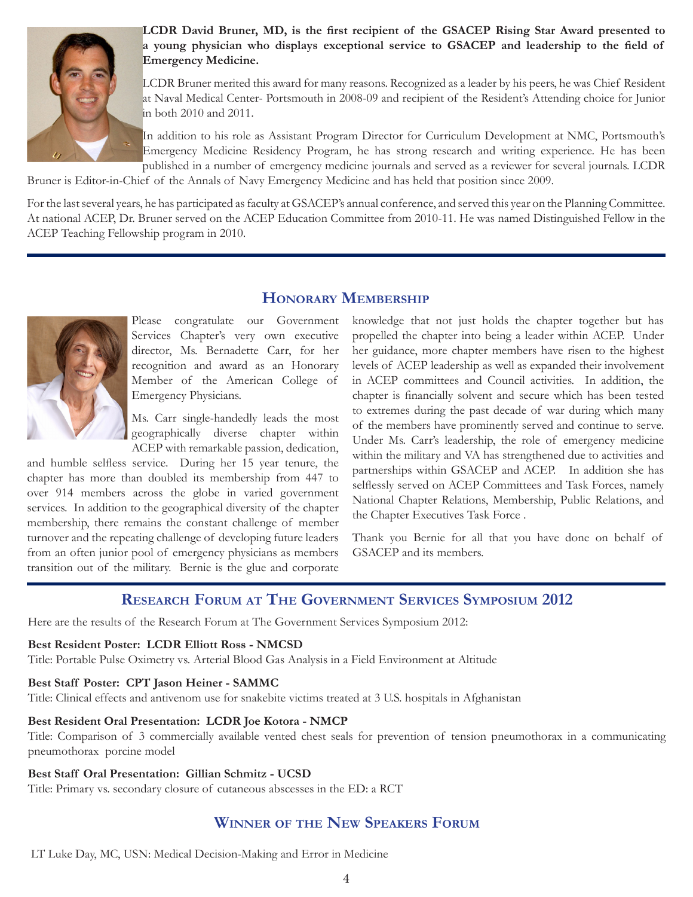

**LCDR David Bruner, MD, is the first recipient of the GSACEP Rising Star Award presented to a young physician who displays exceptional service to GSACEP and leadership to the field of Emergency Medicine.** 

LCDR Bruner merited this award for many reasons. Recognized as a leader by his peers, he was Chief Resident at Naval Medical Center- Portsmouth in 2008-09 and recipient of the Resident's Attending choice for Junior in both 2010 and 2011.

In addition to his role as Assistant Program Director for Curriculum Development at NMC, Portsmouth's Emergency Medicine Residency Program, he has strong research and writing experience. He has been published in a number of emergency medicine journals and served as a reviewer for several journals. LCDR

Bruner is Editor-in-Chief of the Annals of Navy Emergency Medicine and has held that position since 2009.

For the last several years, he has participated as faculty at GSACEP's annual conference, and served this year on the Planning Committee. At national ACEP, Dr. Bruner served on the ACEP Education Committee from 2010-11. He was named Distinguished Fellow in the ACEP Teaching Fellowship program in 2010.

**Honorary Membership**



Please congratulate our Government Services Chapter's very own executive director, Ms. Bernadette Carr, for her recognition and award as an Honorary Member of the American College of Emergency Physicians.

Ms. Carr single-handedly leads the most geographically diverse chapter within ACEP with remarkable passion, dedication,

and humble selfless service. During her 15 year tenure, the chapter has more than doubled its membership from 447 to over 914 members across the globe in varied government services. In addition to the geographical diversity of the chapter membership, there remains the constant challenge of member turnover and the repeating challenge of developing future leaders from an often junior pool of emergency physicians as members transition out of the military. Bernie is the glue and corporate

knowledge that not just holds the chapter together but has propelled the chapter into being a leader within ACEP. Under her guidance, more chapter members have risen to the highest levels of ACEP leadership as well as expanded their involvement in ACEP committees and Council activities. In addition, the chapter is financially solvent and secure which has been tested to extremes during the past decade of war during which many of the members have prominently served and continue to serve. Under Ms. Carr's leadership, the role of emergency medicine within the military and VA has strengthened due to activities and partnerships within GSACEP and ACEP. In addition she has selflessly served on ACEP Committees and Task Forces, namely National Chapter Relations, Membership, Public Relations, and the Chapter Executives Task Force .

Thank you Bernie for all that you have done on behalf of GSACEP and its members.

# **Research Forum at The Government Services Symposium 2012**

Here are the results of the Research Forum at The Government Services Symposium 2012:

#### **Best Resident Poster: LCDR Elliott Ross - NMCSD**

Title: Portable Pulse Oximetry vs. Arterial Blood Gas Analysis in a Field Environment at Altitude

#### **Best Staff Poster: CPT Jason Heiner - SAMMC**

Title: Clinical effects and antivenom use for snakebite victims treated at 3 U.S. hospitals in Afghanistan

#### **Best Resident Oral Presentation: LCDR Joe Kotora - NMCP**

Title: Comparison of 3 commercially available vented chest seals for prevention of tension pneumothorax in a communicating pneumothorax porcine model

#### **Best Staff Oral Presentation: Gillian Schmitz - UCSD**

Title: Primary vs. secondary closure of cutaneous abscesses in the ED: a RCT

# **Winner of the New Speakers Forum**

LT Luke Day, MC, USN: Medical Decision-Making and Error in Medicine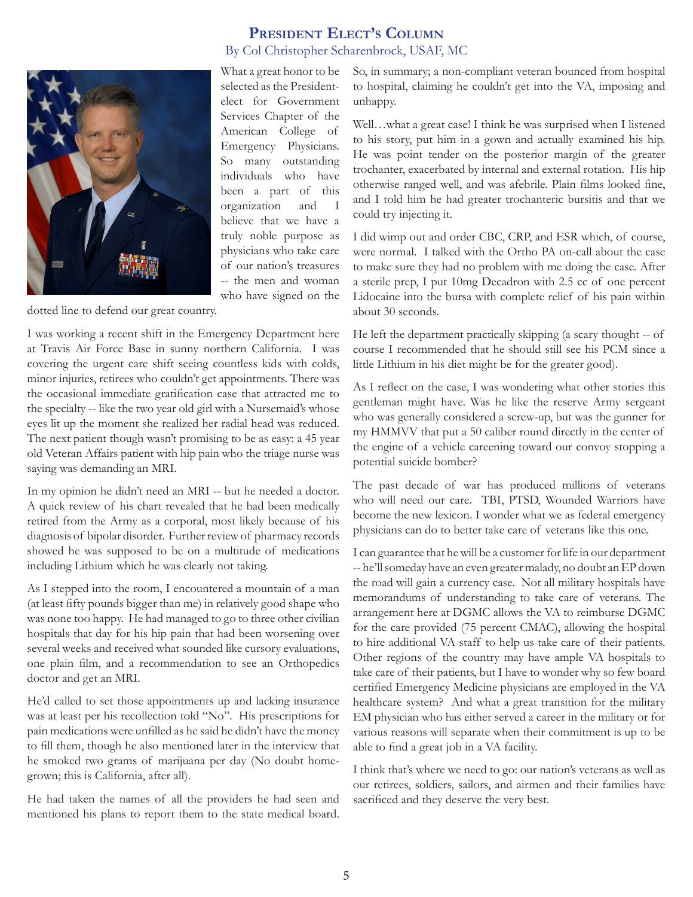

# **President Elect's Column** By Col Christopher Scharenbrock, USAF, MC

What a great honor to be selected as the Presidentelect for Government Services Chapter of the American College of Emergency Physicians. So many outstanding individuals who have been a part of this organization and I believe that we have a truly noble purpose as physicians who take care of our nation's treasures -- the men and woman who have signed on the

dotted line to defend our great country.

I was working a recent shift in the Emergency Department here at Travis Air Force Base in sunny northern California. I was covering the urgent care shift seeing countless kids with colds, minor injuries, retirees who couldn't get appointments. There was the occasional immediate gratification case that attracted me to the specialty -- like the two year old girl with a Nursemaid's whose eyes lit up the moment she realized her radial head was reduced. The next patient though wasn't promising to be as easy: a 45 year old Veteran Affairs patient with hip pain who the triage nurse was saying was demanding an MRI.

In my opinion he didn't need an MRI -- but he needed a doctor. A quick review of his chart revealed that he had been medically retired from the Army as a corporal, most likely because of his diagnosis of bipolar disorder. Further review of pharmacy records showed he was supposed to be on a multitude of medications including Lithium which he was clearly not taking.

As I stepped into the room, I encountered a mountain of a man (at least fifty pounds bigger than me) in relatively good shape who was none too happy. He had managed to go to three other civilian hospitals that day for his hip pain that had been worsening over several weeks and received what sounded like cursory evaluations, one plain film, and a recommendation to see an Orthopedics doctor and get an MRI.

He'd called to set those appointments up and lacking insurance was at least per his recollection told "No". His prescriptions for pain medications were unfilled as he said he didn't have the money to fill them, though he also mentioned later in the interview that he smoked two grams of marijuana per day (No doubt homegrown; this is California, after all).

He had taken the names of all the providers he had seen and mentioned his plans to report them to the state medical board. So, in summary; a non-compliant veteran bounced from hospital to hospital, claiming he couldn't get into the VA, imposing and unhappy.

Well…what a great case! I think he was surprised when I listened to his story, put him in a gown and actually examined his hip. He was point tender on the posterior margin of the greater trochanter, exacerbated by internal and external rotation. His hip otherwise ranged well, and was afebrile. Plain films looked fine, and I told him he had greater trochanteric bursitis and that we could try injecting it.

I did wimp out and order CBC, CRP, and ESR which, of course, were normal. I talked with the Ortho PA on-call about the case to make sure they had no problem with me doing the case. After a sterile prep, I put 10mg Decadron with 2.5 cc of one percent Lidocaine into the bursa with complete relief of his pain within about 30 seconds.

He left the department practically skipping (a scary thought -- of course I recommended that he should still see his PCM since a little Lithium in his diet might be for the greater good).

As I reflect on the case, I was wondering what other stories this gentleman might have. Was he like the reserve Army sergeant who was generally considered a screw-up, but was the gunner for my HMMVV that put a 50 caliber round directly in the center of the engine of a vehicle careening toward our convoy stopping a potential suicide bomber?

The past decade of war has produced millions of veterans who will need our care. TBI, PTSD, Wounded Warriors have become the new lexicon. I wonder what we as federal emergency physicians can do to better take care of veterans like this one.

I can guarantee that he will be a customer for life in our department -- he'll someday have an even greater malady, no doubt an EP down the road will gain a currency case. Not all military hospitals have memorandums of understanding to take care of veterans. The arrangement here at DGMC allows the VA to reimburse DGMC for the care provided (75 percent CMAC), allowing the hospital to hire additional VA staff to help us take care of their patients. Other regions of the country may have ample VA hospitals to take care of their patients, but I have to wonder why so few board certified Emergency Medicine physicians are employed in the VA healthcare system? And what a great transition for the military EM physician who has either served a career in the military or for various reasons will separate when their commitment is up to be able to find a great job in a VA facility.

I think that's where we need to go: our nation's veterans as well as our retirees, soldiers, sailors, and airmen and their families have sacrificed and they deserve the very best.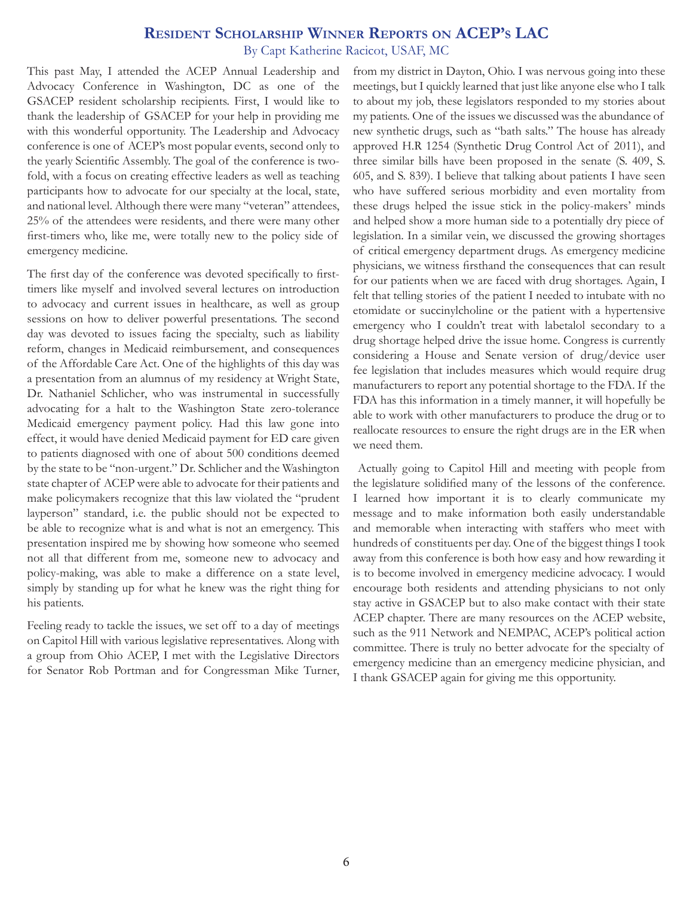# **Resident Scholarship Winner Reports on ACEP's LAC**

By Capt Katherine Racicot, USAF, MC

This past May, I attended the ACEP Annual Leadership and Advocacy Conference in Washington, DC as one of the GSACEP resident scholarship recipients. First, I would like to thank the leadership of GSACEP for your help in providing me with this wonderful opportunity. The Leadership and Advocacy conference is one of ACEP's most popular events, second only to the yearly Scientific Assembly. The goal of the conference is twofold, with a focus on creating effective leaders as well as teaching participants how to advocate for our specialty at the local, state, and national level. Although there were many "veteran" attendees, 25% of the attendees were residents, and there were many other first-timers who, like me, were totally new to the policy side of emergency medicine.

The first day of the conference was devoted specifically to firsttimers like myself and involved several lectures on introduction to advocacy and current issues in healthcare, as well as group sessions on how to deliver powerful presentations. The second day was devoted to issues facing the specialty, such as liability reform, changes in Medicaid reimbursement, and consequences of the Affordable Care Act. One of the highlights of this day was a presentation from an alumnus of my residency at Wright State, Dr. Nathaniel Schlicher, who was instrumental in successfully advocating for a halt to the Washington State zero-tolerance Medicaid emergency payment policy. Had this law gone into effect, it would have denied Medicaid payment for ED care given to patients diagnosed with one of about 500 conditions deemed by the state to be "non-urgent." Dr. Schlicher and the Washington state chapter of ACEP were able to advocate for their patients and make policymakers recognize that this law violated the "prudent layperson" standard, i.e. the public should not be expected to be able to recognize what is and what is not an emergency. This presentation inspired me by showing how someone who seemed not all that different from me, someone new to advocacy and policy-making, was able to make a difference on a state level, simply by standing up for what he knew was the right thing for his patients.

Feeling ready to tackle the issues, we set off to a day of meetings on Capitol Hill with various legislative representatives. Along with a group from Ohio ACEP, I met with the Legislative Directors for Senator Rob Portman and for Congressman Mike Turner, from my district in Dayton, Ohio. I was nervous going into these meetings, but I quickly learned that just like anyone else who I talk to about my job, these legislators responded to my stories about my patients. One of the issues we discussed was the abundance of new synthetic drugs, such as "bath salts." The house has already approved H.R 1254 (Synthetic Drug Control Act of 2011), and three similar bills have been proposed in the senate (S. 409, S. 605, and S. 839). I believe that talking about patients I have seen who have suffered serious morbidity and even mortality from these drugs helped the issue stick in the policy-makers' minds and helped show a more human side to a potentially dry piece of legislation. In a similar vein, we discussed the growing shortages of critical emergency department drugs. As emergency medicine physicians, we witness firsthand the consequences that can result for our patients when we are faced with drug shortages. Again, I felt that telling stories of the patient I needed to intubate with no etomidate or succinylcholine or the patient with a hypertensive emergency who I couldn't treat with labetalol secondary to a drug shortage helped drive the issue home. Congress is currently considering a House and Senate version of drug/device user fee legislation that includes measures which would require drug manufacturers to report any potential shortage to the FDA. If the FDA has this information in a timely manner, it will hopefully be able to work with other manufacturers to produce the drug or to reallocate resources to ensure the right drugs are in the ER when we need them.

 Actually going to Capitol Hill and meeting with people from the legislature solidified many of the lessons of the conference. I learned how important it is to clearly communicate my message and to make information both easily understandable and memorable when interacting with staffers who meet with hundreds of constituents per day. One of the biggest things I took away from this conference is both how easy and how rewarding it is to become involved in emergency medicine advocacy. I would encourage both residents and attending physicians to not only stay active in GSACEP but to also make contact with their state ACEP chapter. There are many resources on the ACEP website, such as the 911 Network and NEMPAC, ACEP's political action committee. There is truly no better advocate for the specialty of emergency medicine than an emergency medicine physician, and I thank GSACEP again for giving me this opportunity.